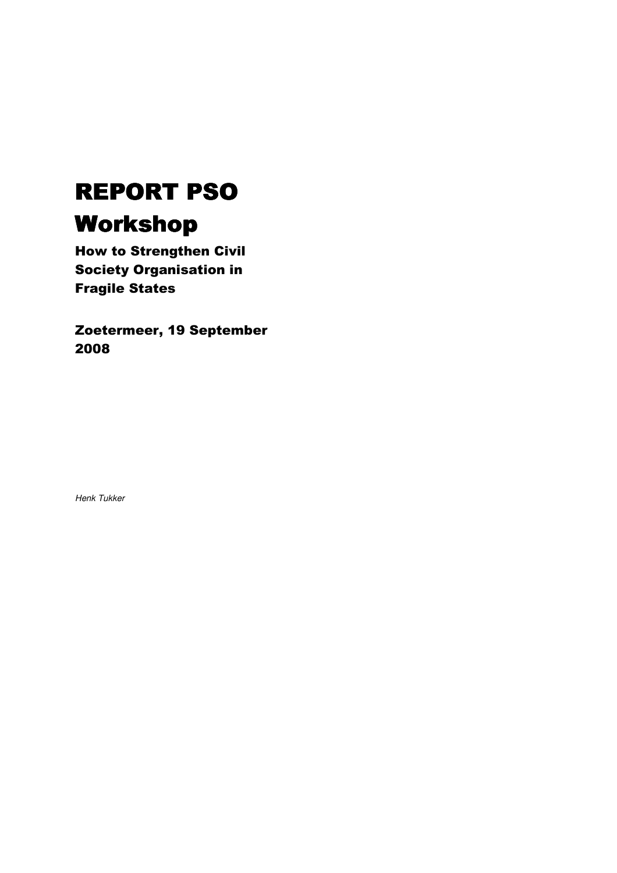# REPORT PSO Workshop

How to Strengthen Civil Society Organisation in Fragile States

Zoetermeer, 19 September 2008

Henk Tukker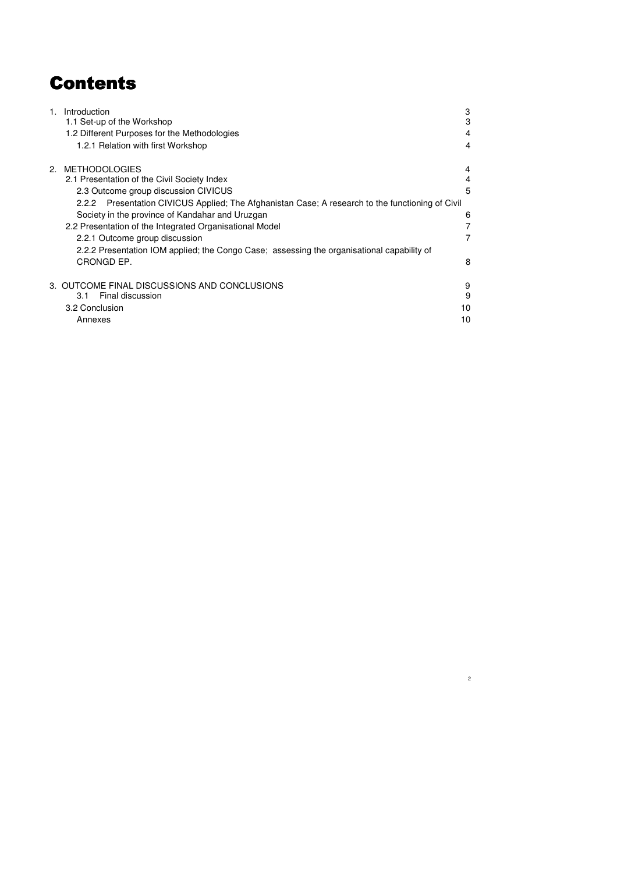# Contents

| 1 <sub>1</sub> | Introduction                                                                                     | 3  |
|----------------|--------------------------------------------------------------------------------------------------|----|
|                | 1.1 Set-up of the Workshop                                                                       | 3  |
|                | 1.2 Different Purposes for the Methodologies                                                     | 4  |
|                | 1.2.1 Relation with first Workshop                                                               | 4  |
| 2.             | <b>METHODOLOGIES</b>                                                                             | 4  |
|                | 2.1 Presentation of the Civil Society Index                                                      | 4  |
|                | 2.3 Outcome group discussion CIVICUS                                                             | 5  |
|                | 2.2.2 Presentation CIVICUS Applied; The Afghanistan Case; A research to the functioning of Civil |    |
|                | Society in the province of Kandahar and Uruzgan                                                  | 6  |
|                | 2.2 Presentation of the Integrated Organisational Model                                          |    |
|                | 2.2.1 Outcome group discussion                                                                   |    |
|                | 2.2.2 Presentation IOM applied; the Congo Case; assessing the organisational capability of       |    |
|                | CRONGD EP.                                                                                       | 8  |
|                | 3. OUTCOME FINAL DISCUSSIONS AND CONCLUSIONS                                                     | 9  |
|                | Final discussion<br>3.1                                                                          | 9  |
|                | 3.2 Conclusion                                                                                   | 10 |
|                | Annexes                                                                                          | 10 |
|                |                                                                                                  |    |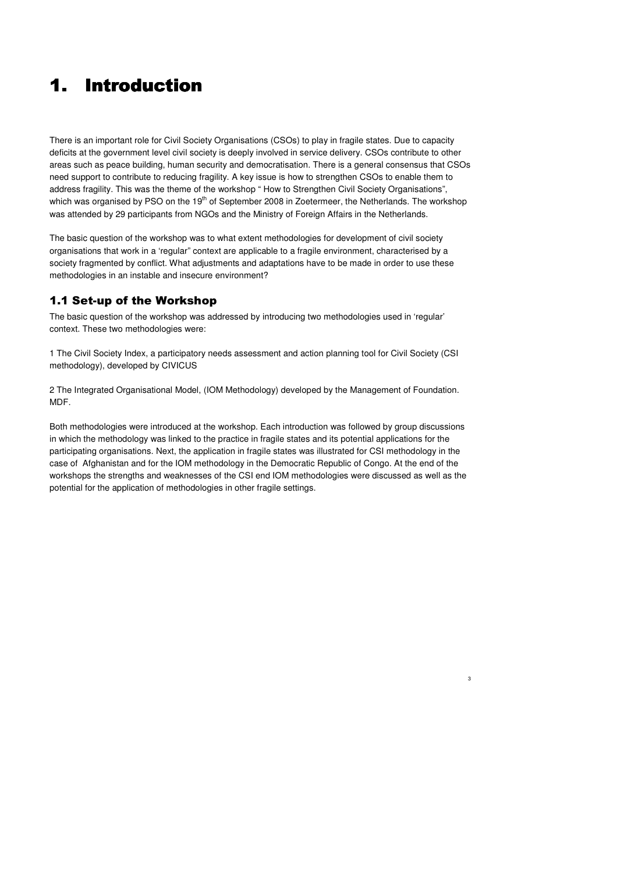# 1. Introduction 1. Introduction Introduction

There is an important role for Civil Society Organisations (CSOs) to play in fragile states. Due to capacity deficits at the government level civil society is deeply involved in service delivery. CSOs contribute to other areas such as peace building, human security and democratisation. There is a general consensus that CSOs need support to contribute to reducing fragility. A key issue is how to strengthen CSOs to enable them to address fragility. This was the theme of the workshop " How to Strengthen Civil Society Organisations", which was organised by PSO on the 19<sup>th</sup> of September 2008 in Zoetermeer, the Netherlands. The workshop was attended by 29 participants from NGOs and the Ministry of Foreign Affairs in the Netherlands.

The basic question of the workshop was to what extent methodologies for development of civil society organisations that work in a 'regular" context are applicable to a fragile environment, characterised by a society fragmented by conflict. What adjustments and adaptations have to be made in order to use these methodologies in an instable and insecure environment?

# 1.1 Set-up of the Workshop

The basic question of the workshop was addressed by introducing two methodologies used in 'regular' context. These two methodologies were:

1 The Civil Society Index, a participatory needs assessment and action planning tool for Civil Society (CSI methodology), developed by CIVICUS

2 The Integrated Organisational Model, (IOM Methodology) developed by the Management of Foundation. MDF.

Both methodologies were introduced at the workshop. Each introduction was followed by group discussions in which the methodology was linked to the practice in fragile states and its potential applications for the participating organisations. Next, the application in fragile states was illustrated for CSI methodology in the case of Afghanistan and for the IOM methodology in the Democratic Republic of Congo. At the end of the workshops the strengths and weaknesses of the CSI end IOM methodologies were discussed as well as the potential for the application of methodologies in other fragile settings.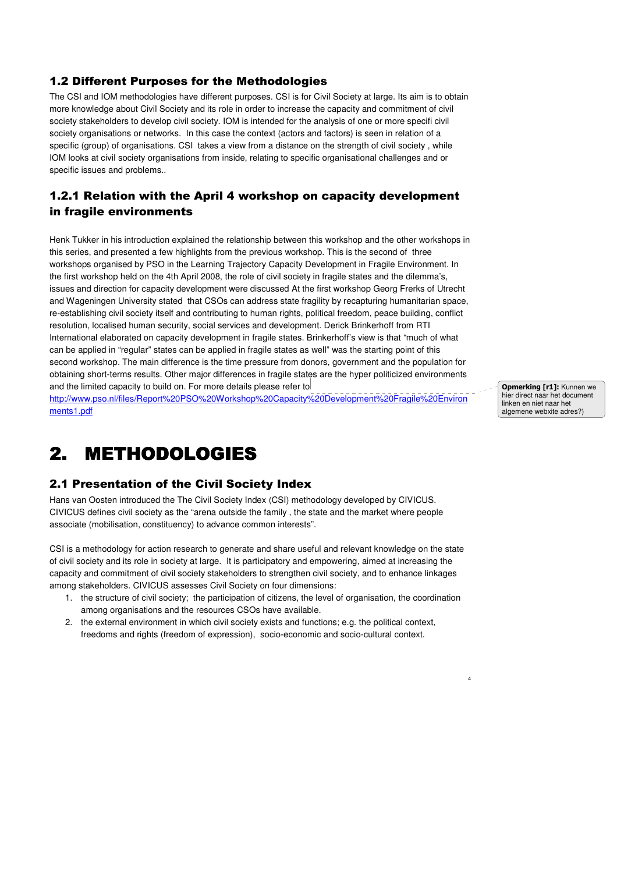# 1.2 Different Purposes for the Methodologies

The CSI and IOM methodologies have different purposes. CSI is for Civil Society at large. Its aim is to obtain more knowledge about Civil Society and its role in order to increase the capacity and commitment of civil society stakeholders to develop civil society. IOM is intended for the analysis of one or more specifi civil society organisations or networks. In this case the context (actors and factors) is seen in relation of a specific (group) of organisations. CSI takes a view from a distance on the strength of civil society, while IOM looks at civil society organisations from inside, relating to specific organisational challenges and or specific issues and problems..

# 1.2.1 Relation with the April 4 workshop on capacity development in fragile environments

Henk Tukker in his introduction explained the relationship between this workshop and the other workshops in this series, and presented a few highlights from the previous workshop. This is the second of three workshops organised by PSO in the Learning Trajectory Capacity Development in Fragile Environment. In the first workshop held on the 4th April 2008, the role of civil society in fragile states and the dilemma's, issues and direction for capacity development were discussed At the first workshop Georg Frerks of Utrecht and Wageningen University stated that CSOs can address state fragility by recapturing humanitarian space, re-establishing civil society itself and contributing to human rights, political freedom, peace building, conflict resolution, localised human security, social services and development. Derick Brinkerhoff from RTI International elaborated on capacity development in fragile states. Brinkerhoff's view is that "much of what can be applied in "regular" states can be applied in fragile states as well" was the starting point of this second workshop. The main difference is the time pressure from donors, government and the population for obtaining short-terms results. Other major differences in fragile states are the hyper politicized environments and the limited capacity to build on. For more details please refer to http://www.pso.nl/files/Report%20PSO%20Workshop%20Capacity%20Development%20Fragile%20Environ

ments1.pdf

**Opmerking [r1]: Kunnen we** hier direct naar het document linken en niet naar het algemene webxite adres?)

4

# 2. METHODOLOGIES

### 2.1 Presentation of the Civil Society Index

Hans van Oosten introduced the The Civil Society Index (CSI) methodology developed by CIVICUS. CIVICUS defines civil society as the "arena outside the family , the state and the market where people associate (mobilisation, constituency) to advance common interests".

CSI is a methodology for action research to generate and share useful and relevant knowledge on the state of civil society and its role in society at large. It is participatory and empowering, aimed at increasing the capacity and commitment of civil society stakeholders to strengthen civil society, and to enhance linkages among stakeholders. CIVICUS assesses Civil Society on four dimensions:

- 1. the structure of civil society; the participation of citizens, the level of organisation, the coordination among organisations and the resources CSOs have available.
- 2. the external environment in which civil society exists and functions; e.g. the political context, freedoms and rights (freedom of expression), socio-economic and socio-cultural context.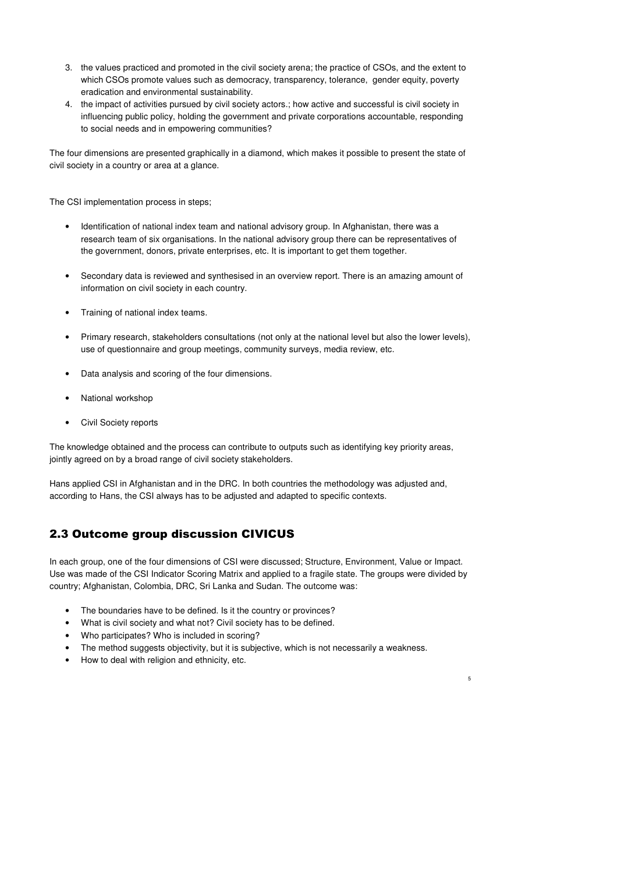- 3. the values practiced and promoted in the civil society arena; the practice of CSOs, and the extent to which CSOs promote values such as democracy, transparency, tolerance, gender equity, poverty eradication and environmental sustainability.
- 4. the impact of activities pursued by civil society actors.; how active and successful is civil society in influencing public policy, holding the government and private corporations accountable, responding to social needs and in empowering communities?

The four dimensions are presented graphically in a diamond, which makes it possible to present the state of civil society in a country or area at a glance.

The CSI implementation process in steps;

- Identification of national index team and national advisory group. In Afghanistan, there was a research team of six organisations. In the national advisory group there can be representatives of the government, donors, private enterprises, etc. It is important to get them together.
- Secondary data is reviewed and synthesised in an overview report. There is an amazing amount of information on civil society in each country.
- Training of national index teams.
- Primary research, stakeholders consultations (not only at the national level but also the lower levels), use of questionnaire and group meetings, community surveys, media review, etc.
- Data analysis and scoring of the four dimensions.
- National workshop
- Civil Society reports

The knowledge obtained and the process can contribute to outputs such as identifying key priority areas, jointly agreed on by a broad range of civil society stakeholders.

Hans applied CSI in Afghanistan and in the DRC. In both countries the methodology was adjusted and, according to Hans, the CSI always has to be adjusted and adapted to specific contexts.

### 2.3 Outcome group discussion CIVICUS

In each group, one of the four dimensions of CSI were discussed; Structure, Environment, Value or Impact. Use was made of the CSI Indicator Scoring Matrix and applied to a fragile state. The groups were divided by country; Afghanistan, Colombia, DRC, Sri Lanka and Sudan. The outcome was:

- The boundaries have to be defined. Is it the country or provinces?
- What is civil society and what not? Civil society has to be defined.
- Who participates? Who is included in scoring?
- The method suggests objectivity, but it is subjective, which is not necessarily a weakness.

5

• How to deal with religion and ethnicity, etc.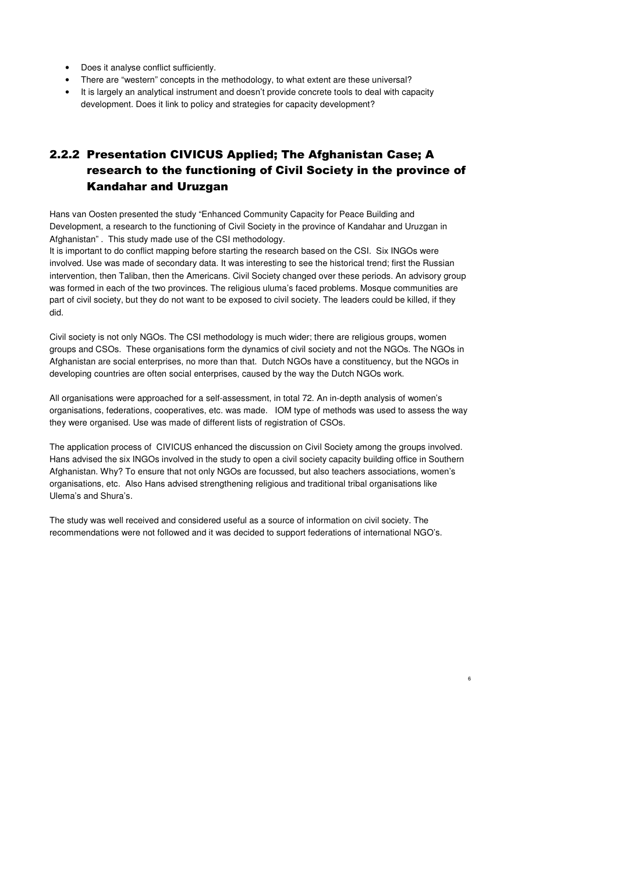- Does it analyse conflict sufficiently.
- There are "western" concepts in the methodology, to what extent are these universal?
- It is largely an analytical instrument and doesn't provide concrete tools to deal with capacity development. Does it link to policy and strategies for capacity development?

# 2.2.2 Presentation CIVICUS Applied; The Afghanistan Case; A research to the functioning of Civil Society in the province of Kandahar and Uruzgan

Hans van Oosten presented the study "Enhanced Community Capacity for Peace Building and Development, a research to the functioning of Civil Society in the province of Kandahar and Uruzgan in Afghanistan" . This study made use of the CSI methodology.

It is important to do conflict mapping before starting the research based on the CSI. Six INGOs were involved. Use was made of secondary data. It was interesting to see the historical trend; first the Russian intervention, then Taliban, then the Americans. Civil Society changed over these periods. An advisory group was formed in each of the two provinces. The religious uluma's faced problems. Mosque communities are part of civil society, but they do not want to be exposed to civil society. The leaders could be killed, if they did.

Civil society is not only NGOs. The CSI methodology is much wider; there are religious groups, women groups and CSOs. These organisations form the dynamics of civil society and not the NGOs. The NGOs in Afghanistan are social enterprises, no more than that. Dutch NGOs have a constituency, but the NGOs in developing countries are often social enterprises, caused by the way the Dutch NGOs work.

All organisations were approached for a self-assessment, in total 72. An in-depth analysis of women's organisations, federations, cooperatives, etc. was made. IOM type of methods was used to assess the way they were organised. Use was made of different lists of registration of CSOs.

The application process of CIVICUS enhanced the discussion on Civil Society among the groups involved. Hans advised the six INGOs involved in the study to open a civil society capacity building office in Southern Afghanistan. Why? To ensure that not only NGOs are focussed, but also teachers associations, women's organisations, etc. Also Hans advised strengthening religious and traditional tribal organisations like Ulema's and Shura's.

6

The study was well received and considered useful as a source of information on civil society. The recommendations were not followed and it was decided to support federations of international NGO's.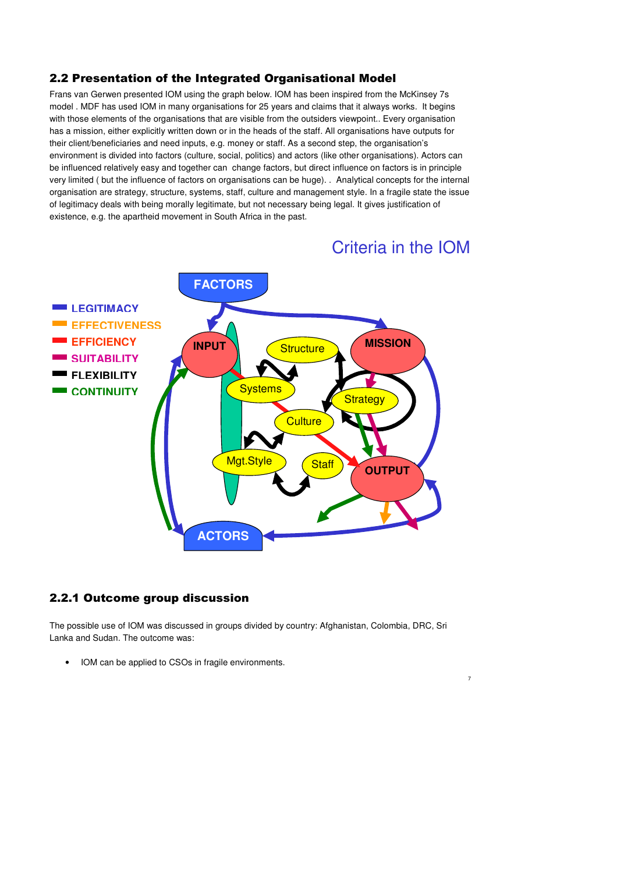### 2.2 Presentation of the Integrated Organisational Model

Frans van Gerwen presented IOM using the graph below. IOM has been inspired from the McKinsey 7s model . MDF has used IOM in many organisations for 25 years and claims that it always works. It begins with those elements of the organisations that are visible from the outsiders viewpoint.. Every organisation has a mission, either explicitly written down or in the heads of the staff. All organisations have outputs for their client/beneficiaries and need inputs, e.g. money or staff. As a second step, the organisation's environment is divided into factors (culture, social, politics) and actors (like other organisations). Actors can be influenced relatively easy and together can change factors, but direct influence on factors is in principle very limited ( but the influence of factors on organisations can be huge). . Analytical concepts for the internal organisation are strategy, structure, systems, staff, culture and management style. In a fragile state the issue of legitimacy deals with being morally legitimate, but not necessary being legal. It gives justification of existence, e.g. the apartheid movement in South Africa in the past.

# Criteria in the IOM

7



### 2.2.1 Outcome group discussion

The possible use of IOM was discussed in groups divided by country: Afghanistan, Colombia, DRC, Sri Lanka and Sudan. The outcome was:

• IOM can be applied to CSOs in fragile environments.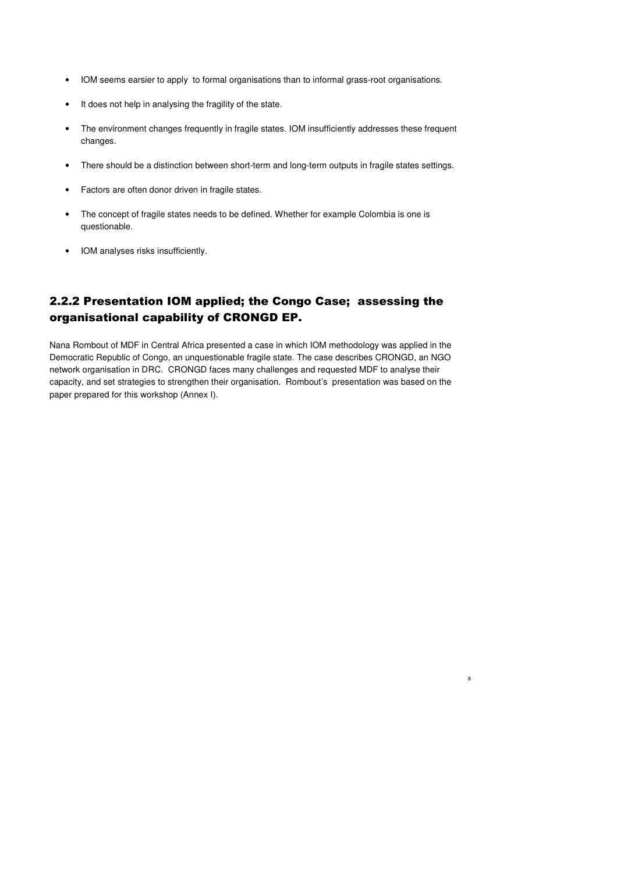- IOM seems earsier to apply to formal organisations than to informal grass-root organisations.
- It does not help in analysing the fragility of the state.
- The environment changes frequently in fragile states. IOM insufficiently addresses these frequent changes.
- There should be a distinction between short-term and long-term outputs in fragile states settings.
- Factors are often donor driven in fragile states.
- The concept of fragile states needs to be defined. Whether for example Colombia is one is questionable.
- IOM analyses risks insufficiently.

# 2.2.2 Presentation IOM applied; the Congo Case; assessing the organisational capability of CRONGD EP.

Nana Rombout of MDF in Central Africa presented a case in which IOM methodology was applied in the Democratic Republic of Congo, an unquestionable fragile state. The case describes CRONGD, an NGO network organisation in DRC. CRONGD faces many challenges and requested MDF to analyse their capacity, and set strategies to strengthen their organisation. Rombout's presentation was based on the paper prepared for this workshop (Annex I).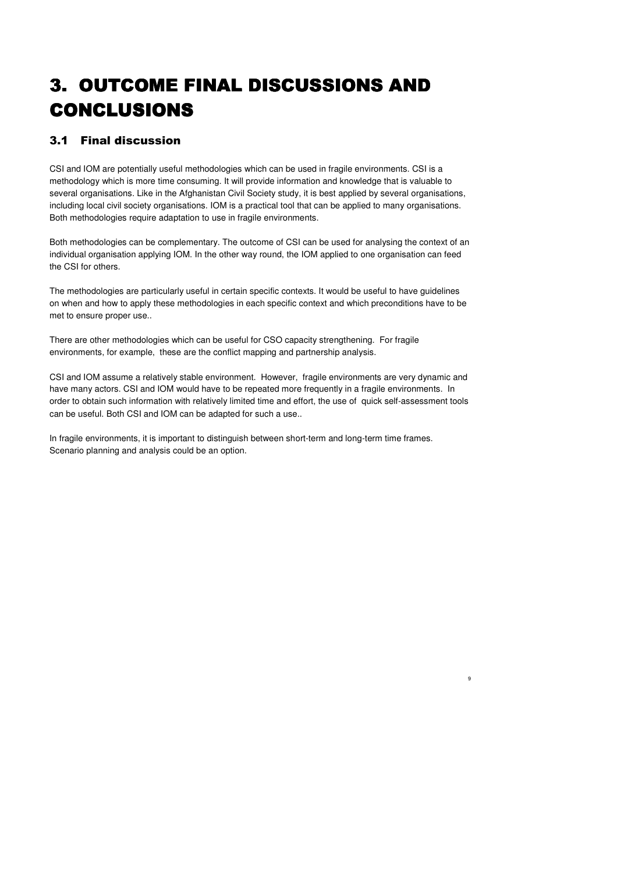# 3. OUTCOME FINAL DISCUSSIONS AND CONCLUSIONS

# 3.1 Final discussion

CSI and IOM are potentially useful methodologies which can be used in fragile environments. CSI is a methodology which is more time consuming. It will provide information and knowledge that is valuable to several organisations. Like in the Afghanistan Civil Society study, it is best applied by several organisations, including local civil society organisations. IOM is a practical tool that can be applied to many organisations. Both methodologies require adaptation to use in fragile environments.

Both methodologies can be complementary. The outcome of CSI can be used for analysing the context of an individual organisation applying IOM. In the other way round, the IOM applied to one organisation can feed the CSI for others.

The methodologies are particularly useful in certain specific contexts. It would be useful to have guidelines on when and how to apply these methodologies in each specific context and which preconditions have to be met to ensure proper use..

There are other methodologies which can be useful for CSO capacity strengthening. For fragile environments, for example, these are the conflict mapping and partnership analysis.

CSI and IOM assume a relatively stable environment. However, fragile environments are very dynamic and have many actors. CSI and IOM would have to be repeated more frequently in a fragile environments. In order to obtain such information with relatively limited time and effort, the use of quick self-assessment tools can be useful. Both CSI and IOM can be adapted for such a use..

9

In fragile environments, it is important to distinguish between short-term and long-term time frames. Scenario planning and analysis could be an option.